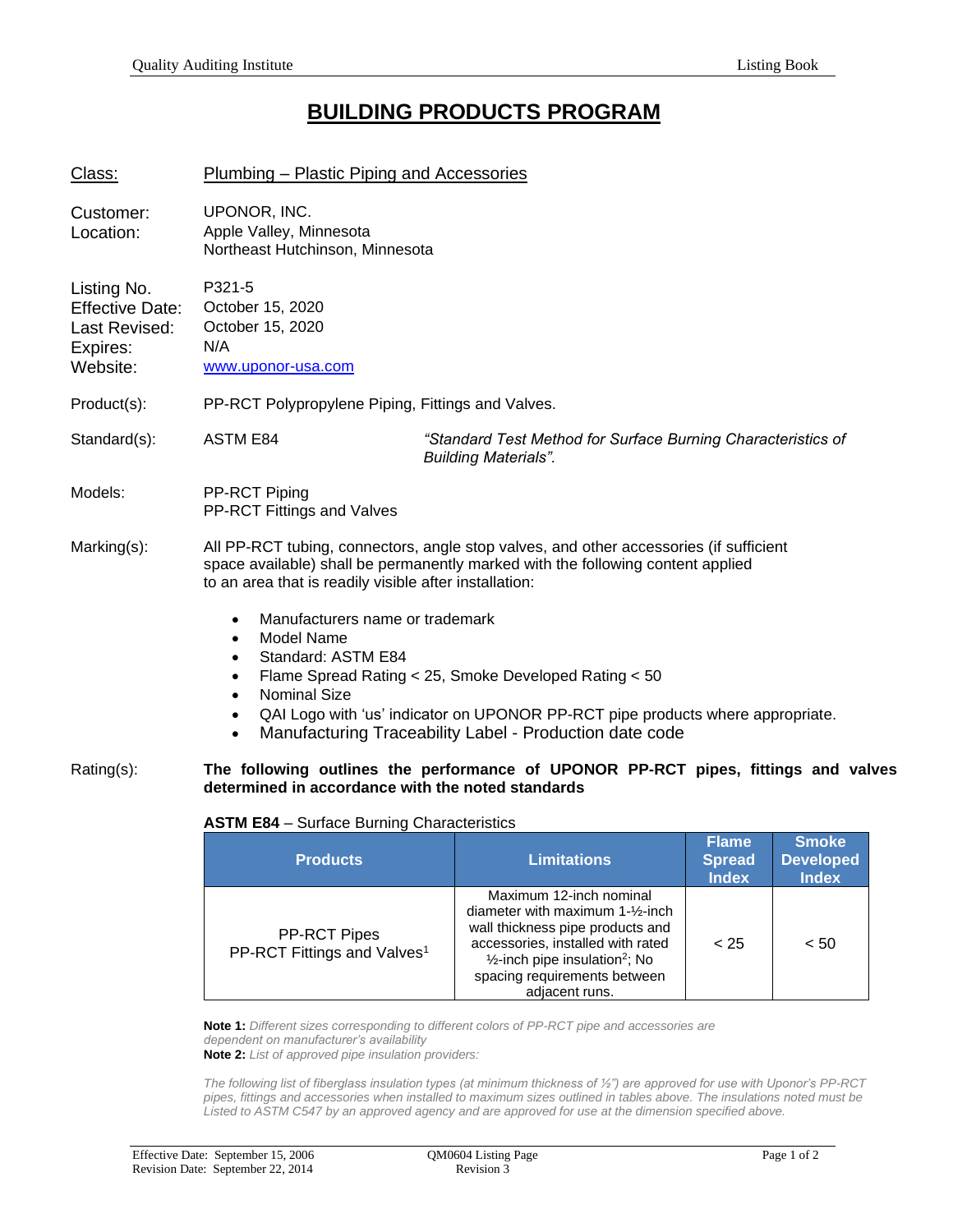## **BUILDING PRODUCTS PROGRAM**

| Class:                                                                         | Plumbing – Plastic Piping and Accessories                                                                                                                                                                                           |                                                                                                                                                                                                    |  |
|--------------------------------------------------------------------------------|-------------------------------------------------------------------------------------------------------------------------------------------------------------------------------------------------------------------------------------|----------------------------------------------------------------------------------------------------------------------------------------------------------------------------------------------------|--|
| Customer:<br>Location:                                                         | UPONOR, INC.<br>Apple Valley, Minnesota<br>Northeast Hutchinson, Minnesota                                                                                                                                                          |                                                                                                                                                                                                    |  |
| Listing No.<br><b>Effective Date:</b><br>Last Revised:<br>Expires:<br>Website: | P321-5<br>October 15, 2020<br>October 15, 2020<br>N/A<br>www.uponor-usa.com                                                                                                                                                         |                                                                                                                                                                                                    |  |
| Product(s):                                                                    | PP-RCT Polypropylene Piping, Fittings and Valves.                                                                                                                                                                                   |                                                                                                                                                                                                    |  |
| Standard(s):                                                                   | <b>ASTM E84</b>                                                                                                                                                                                                                     | "Standard Test Method for Surface Burning Characteristics of<br><b>Building Materials".</b>                                                                                                        |  |
| Models:                                                                        | PP-RCT Piping<br>PP-RCT Fittings and Valves                                                                                                                                                                                         |                                                                                                                                                                                                    |  |
| Marking(s):                                                                    | All PP-RCT tubing, connectors, angle stop valves, and other accessories (if sufficient<br>space available) shall be permanently marked with the following content applied<br>to an area that is readily visible after installation: |                                                                                                                                                                                                    |  |
|                                                                                | Manufacturers name or trademark<br>$\bullet$<br>Model Name<br>$\bullet$<br>Standard: ASTM E84<br>$\bullet$<br>٠<br><b>Nominal Size</b><br>$\bullet$<br>$\bullet$<br>$\bullet$                                                       | Flame Spread Rating < 25, Smoke Developed Rating < 50<br>QAI Logo with 'us' indicator on UPONOR PP-RCT pipe products where appropriate.<br>Manufacturing Traceability Label - Production date code |  |
| Rating(s):                                                                     | determined in accordance with the noted standards                                                                                                                                                                                   | The following outlines the performance of UPONOR PP-RCT pipes, fittings and valves                                                                                                                 |  |

## **ASTM E84** – Surface Burning Characteristics

| <b>Products</b>                                                | <b>Limitations</b>                                                                                                                                                                                                                                           | <b>Flame</b><br><b>Spread</b><br><b>Index</b> | <b>Smoke</b><br><b>Developed</b><br><b>Index</b> |
|----------------------------------------------------------------|--------------------------------------------------------------------------------------------------------------------------------------------------------------------------------------------------------------------------------------------------------------|-----------------------------------------------|--------------------------------------------------|
| <b>PP-RCT Pipes</b><br>PP-RCT Fittings and Valves <sup>1</sup> | Maximum 12-inch nominal<br>diameter with maximum 1-1/ <sub>2</sub> -inch<br>wall thickness pipe products and<br>accessories, installed with rated<br>$\frac{1}{2}$ -inch pipe insulation <sup>2</sup> ; No<br>spacing requirements between<br>adjacent runs. | < 25                                          | < 50                                             |

**Note 1:** *Different sizes corresponding to different colors of PP-RCT pipe and accessories are dependent on manufacturer's availability*

**Note 2:** *List of approved pipe insulation providers:*

*The following list of fiberglass insulation types (at minimum thickness of ½") are approved for use with Uponor's PP-RCT pipes, fittings and accessories when installed to maximum sizes outlined in tables above. The insulations noted must be Listed to ASTM C547 by an approved agency and are approved for use at the dimension specified above.*